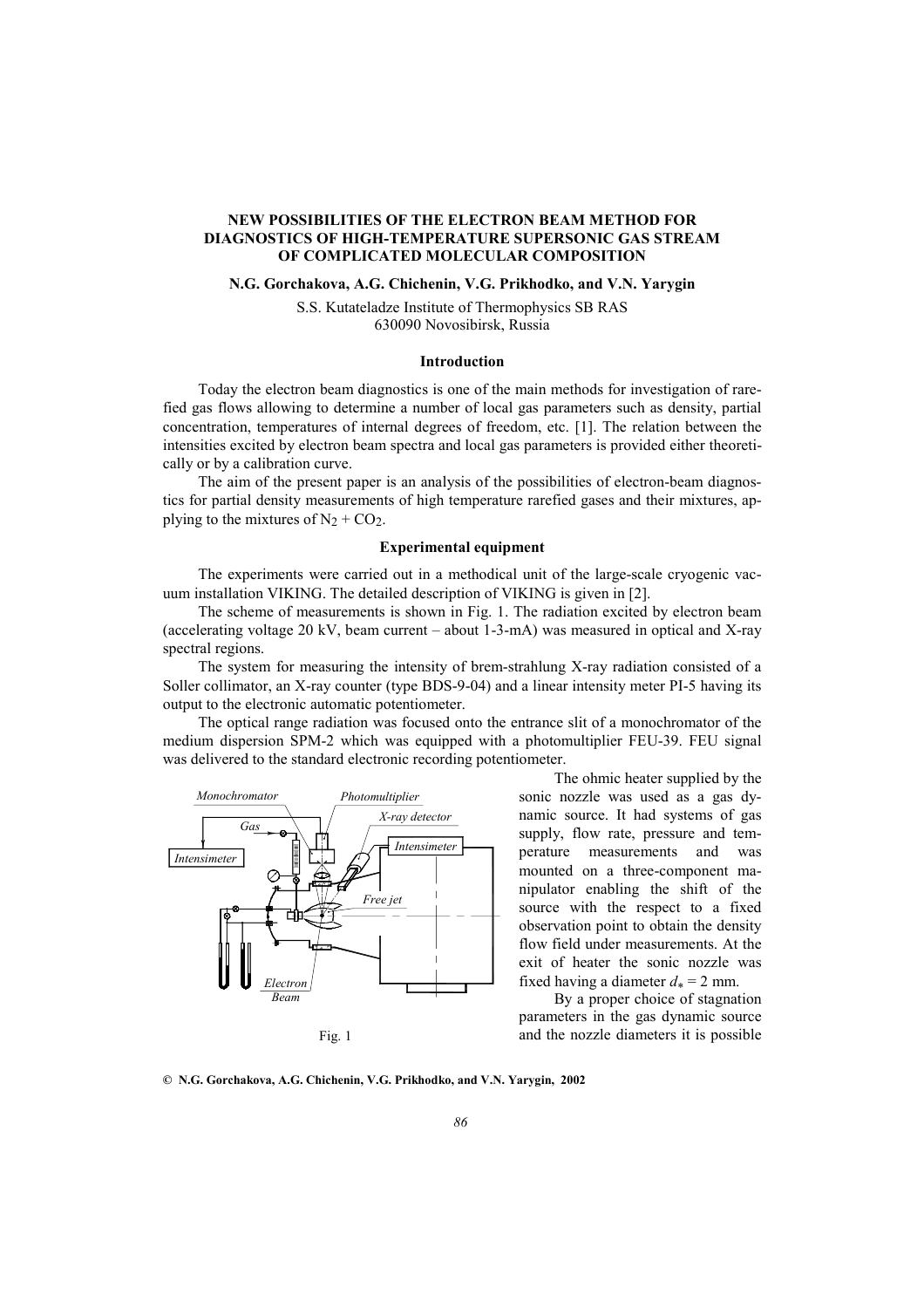# **NEW POSSIBILITIES OF THE ELECTRON BEAM METHOD FOR DIAGNOSTICS OF HIGH-TEMPERATURE SUPERSONIC GAS STREAM OF COMPLICATED MOLECULAR COMPOSITION**

## **N.G. Gorchakova, A.G. Chichenin, V.G. Prikhodko, and V.N. Yarygin**

S.S. Kutateladze Institute of Thermophysics SB RAS 630090 Novosibirsk, Russia

#### **Introduction**

Today the electron beam diagnostics is one of the main methods for investigation of rarefied gas flows allowing to determine a number of local gas parameters such as density, partial concentration, temperatures of internal degrees of freedom, etc. [1]. The relation between the intensities excited by electron beam spectra and local gas parameters is provided either theoretically or by a calibration curve.

The aim of the present paper is an analysis of the possibilities of electron-beam diagnostics for partial density measurements of high temperature rarefied gases and their mixtures, applying to the mixtures of  $N_2$  + CO<sub>2</sub>.

### **Experimental equipment**

The experiments were carried out in a methodical unit of the large-scale cryogenic vacuum installation VIKING. The detailed description of VIKING is given in [2].

The scheme of measurements is shown in Fig. 1. The radiation excited by electron beam (accelerating voltage 20 kV, beam current – about 1-3-mA) was measured in optical and X-ray spectral regions.

The system for measuring the intensity of brem-strahlung X-ray radiation consisted of a Soller collimator, an X-ray counter (type BDS-9-04) and a linear intensity meter PI-5 having its output to the electronic automatic potentiometer.

The optical range radiation was focused onto the entrance slit of a monochromator of the medium dispersion SPM-2 which was equipped with a photomultiplier FEU-39. FEU signal was delivered to the standard electronic recording potentiometer.



The ohmic heater supplied by the sonic nozzle was used as a gas dynamic source. It had systems of gas supply, flow rate, pressure and temperature measurements and was mounted on a three-component manipulator enabling the shift of the source with the respect to a fixed observation point to obtain the density flow field under measurements. At the exit of heater the sonic nozzle was fixed having a diameter  $d_* = 2$  mm.

By a proper choice of stagnation parameters in the gas dynamic source and the nozzle diameters it is possible

**© N.G. Gorchakova, A.G. Chichenin, V.G. Prikhodko, and V.N. Yarygin, 2002**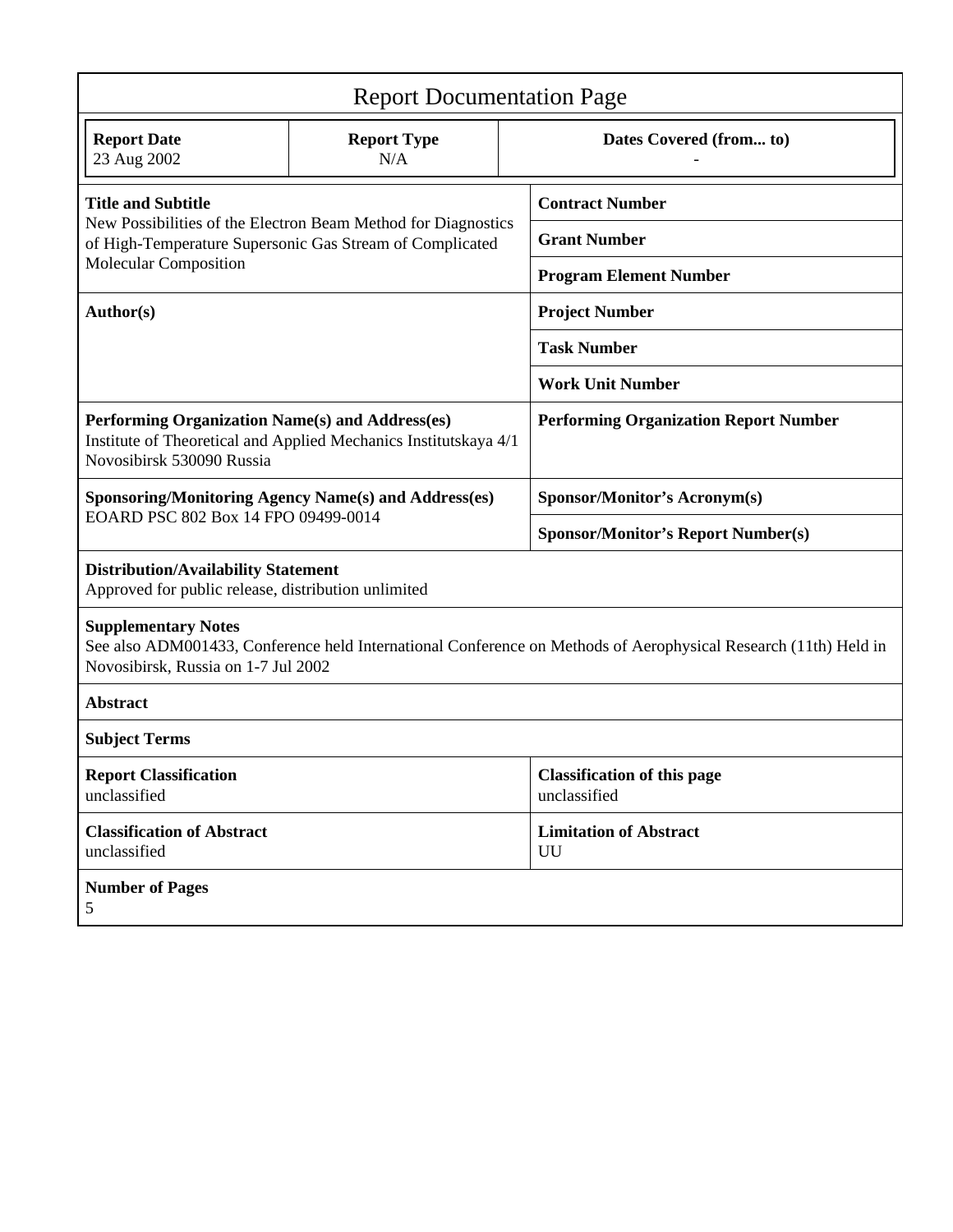| <b>Report Documentation Page</b>                                                                                                                                                     |                           |  |                                                    |  |
|--------------------------------------------------------------------------------------------------------------------------------------------------------------------------------------|---------------------------|--|----------------------------------------------------|--|
| <b>Report Date</b><br>23 Aug 2002                                                                                                                                                    | <b>Report Type</b><br>N/A |  | Dates Covered (from to)                            |  |
| <b>Title and Subtitle</b><br>New Possibilities of the Electron Beam Method for Diagnostics<br>of High-Temperature Supersonic Gas Stream of Complicated                               |                           |  | <b>Contract Number</b>                             |  |
|                                                                                                                                                                                      |                           |  | <b>Grant Number</b>                                |  |
| <b>Molecular Composition</b>                                                                                                                                                         |                           |  | <b>Program Element Number</b>                      |  |
| Author(s)                                                                                                                                                                            |                           |  | <b>Project Number</b>                              |  |
|                                                                                                                                                                                      |                           |  | <b>Task Number</b>                                 |  |
|                                                                                                                                                                                      |                           |  | <b>Work Unit Number</b>                            |  |
| Performing Organization Name(s) and Address(es)<br>Institute of Theoretical and Applied Mechanics Institutskaya 4/1<br>Novosibirsk 530090 Russia                                     |                           |  | <b>Performing Organization Report Number</b>       |  |
| <b>Sponsoring/Monitoring Agency Name(s) and Address(es)</b><br>EOARD PSC 802 Box 14 FPO 09499-0014                                                                                   |                           |  | <b>Sponsor/Monitor's Acronym(s)</b>                |  |
|                                                                                                                                                                                      |                           |  | <b>Sponsor/Monitor's Report Number(s)</b>          |  |
| <b>Distribution/Availability Statement</b><br>Approved for public release, distribution unlimited                                                                                    |                           |  |                                                    |  |
| <b>Supplementary Notes</b><br>See also ADM001433, Conference held International Conference on Methods of Aerophysical Research (11th) Held in<br>Novosibirsk, Russia on 1-7 Jul 2002 |                           |  |                                                    |  |
| <b>Abstract</b>                                                                                                                                                                      |                           |  |                                                    |  |
| <b>Subject Terms</b>                                                                                                                                                                 |                           |  |                                                    |  |
| <b>Report Classification</b><br>unclassified                                                                                                                                         |                           |  | <b>Classification of this page</b><br>unclassified |  |
| <b>Classification of Abstract</b><br>unclassified                                                                                                                                    |                           |  | <b>Limitation of Abstract</b><br>UU                |  |
| <b>Number of Pages</b><br>5                                                                                                                                                          |                           |  |                                                    |  |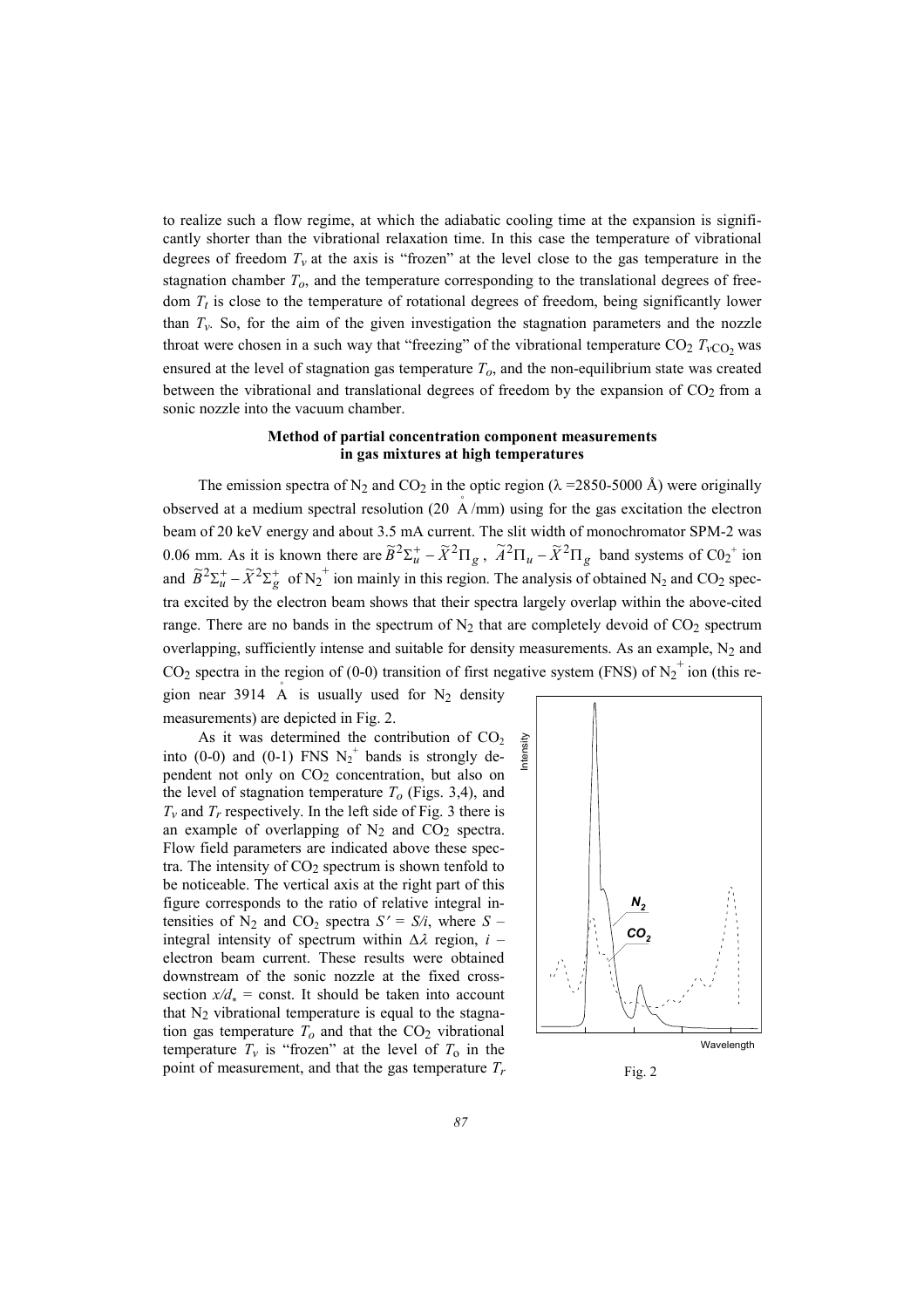to realize such a flow regime, at which the adiabatic cooling time at the expansion is significantly shorter than the vibrational relaxation time. In this case the temperature of vibrational degrees of freedom  $T_v$  at the axis is "frozen" at the level close to the gas temperature in the stagnation chamber *To*, and the temperature corresponding to the translational degrees of freedom  $T_t$  is close to the temperature of rotational degrees of freedom, being significantly lower than  $T_v$ . So, for the aim of the given investigation the stagnation parameters and the nozzle throat were chosen in a such way that "freezing" of the vibrational temperature  $CO_2$   $T_{vCO}$ , was ensured at the level of stagnation gas temperature *To*, and the non-equilibrium state was created between the vibrational and translational degrees of freedom by the expansion of  $CO<sub>2</sub>$  from a sonic nozzle into the vacuum chamber.

# **Method of partial concentration component measurements in gas mixtures at high temperatures**

The emission spectra of N<sub>2</sub> and CO<sub>2</sub> in the optic region ( $\lambda$  =2850-5000 Å) were originally observed at a medium spectral resolution (20  $\AA$ /mm) using for the gas excitation the electron beam of 20 keV energy and about 3.5 mA current. The slit width of monochromator SPM-2 was 0.06 mm. As it is known there are  $\tilde{B}^2\Sigma_u^+ - \tilde{X}^2\Pi_g$ ,  $\tilde{A}^2\Pi_u - \tilde{X}^2\Pi_g$  band systems of C0<sub>2</sub><sup>+</sup> ion and  $\widetilde{B}^2\Sigma_u^+ - \widetilde{X}^2\Sigma_g^+$  of N<sub>2</sub><sup>+</sup> ion mainly in this region. The analysis of obtained N<sub>2</sub> and CO<sub>2</sub> spectra excited by the electron beam shows that their spectra largely overlap within the above-cited range. There are no bands in the spectrum of  $N_2$  that are completely devoid of  $CO_2$  spectrum overlapping, sufficiently intense and suitable for density measurements. As an example,  $N_2$  and CO<sub>2</sub> spectra in the region of (0-0) transition of first negative system (FNS) of N<sub>2</sub><sup>+</sup> ion (this region near 3914  $\overrightarrow{A}$  is usually used for N<sub>2</sub> density

measurements) are depicted in Fig. 2.

As it was determined the contribution of  $CO<sub>2</sub>$ into (0-0) and (0-1) FNS  $N_2^+$  bands is strongly dependent not only on  $CO<sub>2</sub>$  concentration, but also on the level of stagnation temperature  $T<sub>o</sub>$  (Figs. 3,4), and  $T_v$  and  $T_r$  respectively. In the left side of Fig. 3 there is an example of overlapping of  $N_2$  and  $CO_2$  spectra. Flow field parameters are indicated above these spectra. The intensity of  $CO<sub>2</sub>$  spectrum is shown tenfold to be noticeable. The vertical axis at the right part of this figure corresponds to the ratio of relative integral intensities of  $N_2$  and  $CO_2$  spectra  $S' = S/i$ , where  $S$ integral intensity of spectrum within ∆λ region, *i* – electron beam current. These results were obtained downstream of the sonic nozzle at the fixed crosssection  $x/d_* = \text{const.}$  It should be taken into account that  $N_2$  vibrational temperature is equal to the stagnation gas temperature  $T<sub>o</sub>$  and that the  $CO<sub>2</sub>$  vibrational temperature  $T_v$  is "frozen" at the level of  $T_0$  in the point of measurement, and that the gas temperature  $T_r$  Fig. 2

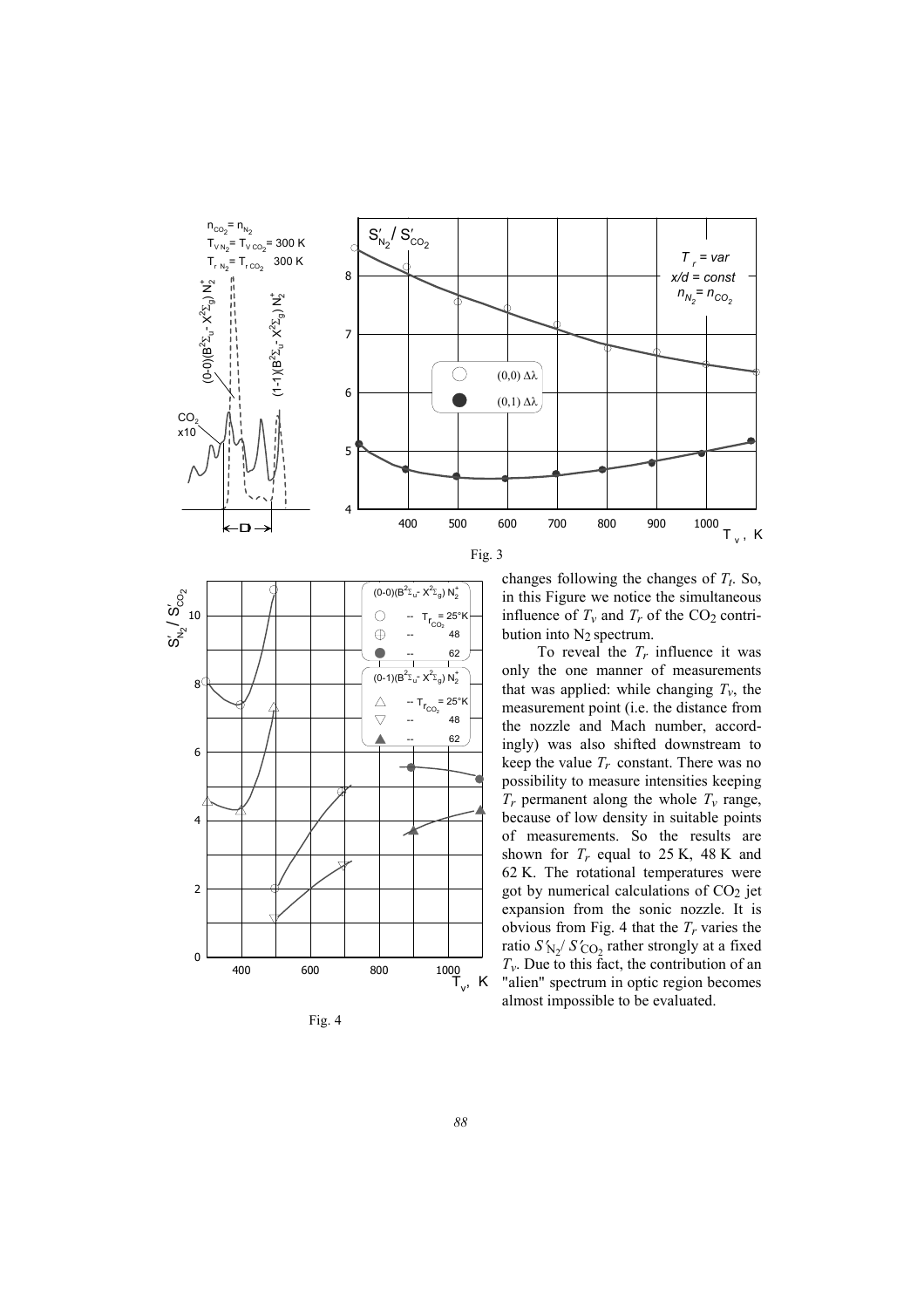



Fig. 4



To reveal the  $T_r$  influence it was only the one manner of measurements that was applied: while changing  $T_v$ , the measurement point (i.e. the distance from the nozzle and Mach number, accordingly) was also shifted downstream to keep the value  $T_r$  constant. There was no possibility to measure intensities keeping  $T_r$  permanent along the whole  $T_v$  range, because of low density in suitable points of measurements. So the results are shown for  $T_r$  equal to 25 K, 48 K and 62 K. The rotational temperatures were got by numerical calculations of CO<sub>2</sub> jet expansion from the sonic nozzle. It is obvious from Fig. 4 that the  $T_r$  varies the ratio  $S'_{N_2}/S'_{\text{CO}_2}$  rather strongly at a fixed  $T_v$ . Due to this fact, the contribution of an "alien" spectrum in optic region becomes almost impossible to be evaluated.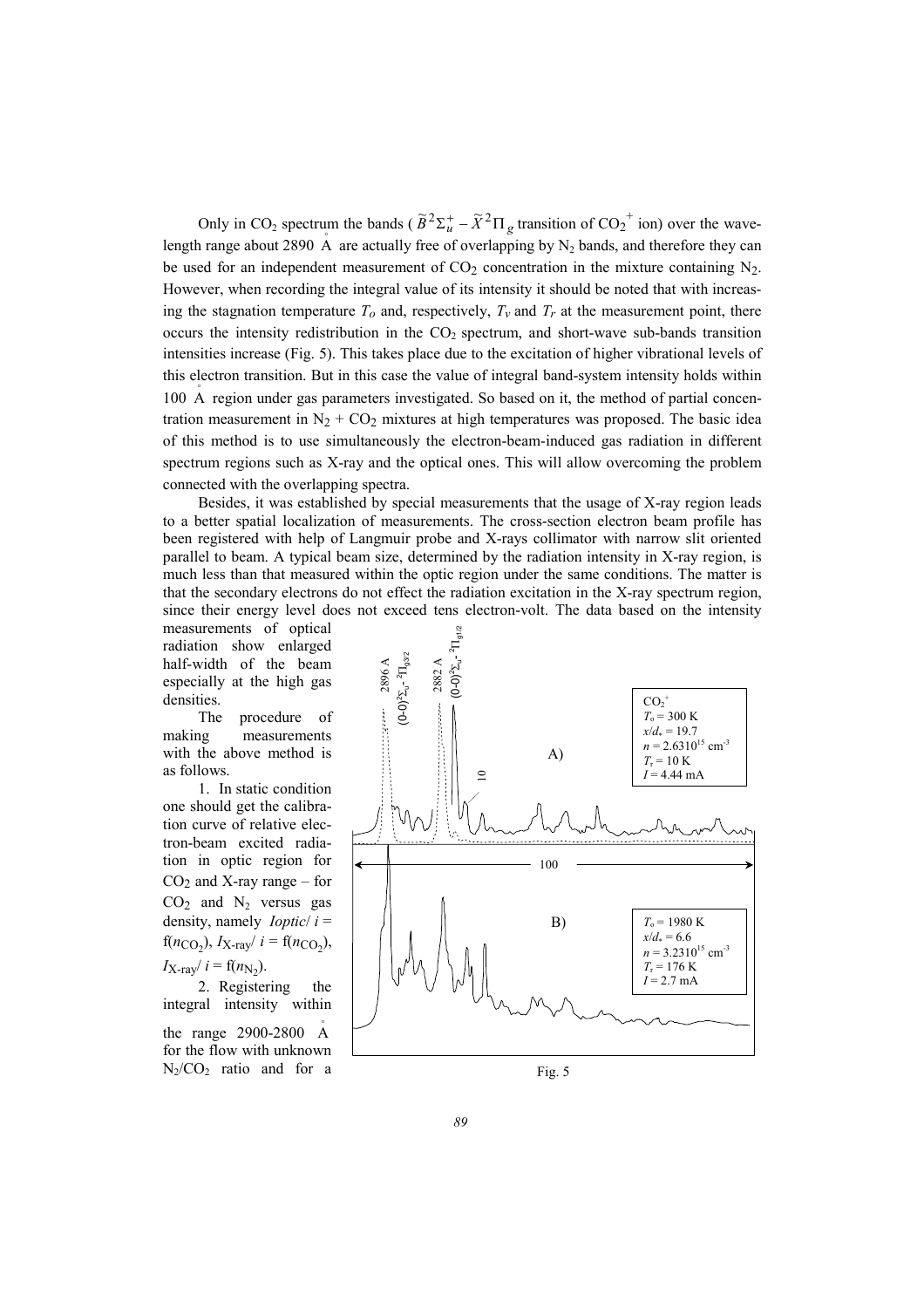Only in CO<sub>2</sub> spectrum the bands ( $\tilde{B}^2 \Sigma_u^+ - \tilde{X}^2 \Pi_g$  transition of CO<sub>2</sub><sup>+</sup> ion) over the wavelength range about 2890 A are actually free of overlapping by  $N_2$  bands, and therefore they can be used for an independent measurement of  $CO<sub>2</sub>$  concentration in the mixture containing N<sub>2</sub>. However, when recording the integral value of its intensity it should be noted that with increasing the stagnation temperature  $T<sub>o</sub>$  and, respectively,  $T<sub>v</sub>$  and  $T<sub>r</sub>$  at the measurement point, there occurs the intensity redistribution in the  $CO<sub>2</sub>$  spectrum, and short-wave sub-bands transition intensities increase (Fig. 5). This takes place due to the excitation of higher vibrational levels of this electron transition. But in this case the value of integral band-system intensity holds within 100  $\AA$  region under gas parameters investigated. So based on it, the method of partial concentration measurement in  $N_2$  +  $CO_2$  mixtures at high temperatures was proposed. The basic idea of this method is to use simultaneously the electron-beam-induced gas radiation in different spectrum regions such as X-ray and the optical ones. This will allow overcoming the problem connected with the overlapping spectra.

Besides, it was established by special measurements that the usage of X-ray region leads to a better spatial localization of measurements. The cross-section electron beam profile has been registered with help of Langmuir probe and X-rays collimator with narrow slit oriented parallel to beam. A typical beam size, determined by the radiation intensity in X-ray region, is much less than that measured within the optic region under the same conditions. The matter is that the secondary electrons do not effect the radiation excitation in the X-ray spectrum region, since their energy level does not exceed tens electron-volt. The data based on the intensity

measurements of optical radiation show enlarged half-width of the beam especially at the high gas densities.

The procedure of making measurements with the above method is as follows.

1. In static condition one should get the calibration curve of relative electron-beam excited radiation in optic region for  $CO<sub>2</sub>$  and X-ray range – for  $CO<sub>2</sub>$  and  $N<sub>2</sub>$  versus gas density, namely *Ioptic*/ *i* =  $f(n_{\text{CO}_2})$ ,  $I_{\text{X-ray}}/i = f(n_{\text{CO}_2})$ ,  $I_{\text{X-ray}}/i = f(n_{\text{N}_2}).$ 

2. Registering the integral intensity within the range  $2900-2800$  A for the flow with unknown  $N_2/CO_2$  ratio and for a



Fig. 5